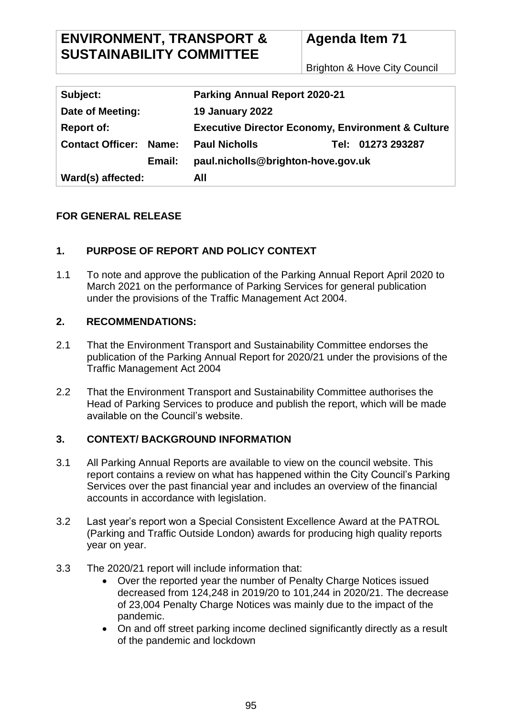Brighton & Hove City Council

| Subject:                      | <b>Parking Annual Report 2020-21</b>                         |  |
|-------------------------------|--------------------------------------------------------------|--|
| Date of Meeting:              | <b>19 January 2022</b>                                       |  |
| <b>Report of:</b>             | <b>Executive Director Economy, Environment &amp; Culture</b> |  |
| <b>Contact Officer: Name:</b> | Tel: 01273 293287<br><b>Paul Nicholls</b>                    |  |
| Email:                        | paul.nicholls@brighton-hove.gov.uk                           |  |
| Ward(s) affected:             | All                                                          |  |

## **FOR GENERAL RELEASE**

# **1. PURPOSE OF REPORT AND POLICY CONTEXT**

1.1 To note and approve the publication of the Parking Annual Report April 2020 to March 2021 on the performance of Parking Services for general publication under the provisions of the Traffic Management Act 2004.

## **2. RECOMMENDATIONS:**

- 2.1 That the Environment Transport and Sustainability Committee endorses the publication of the Parking Annual Report for 2020/21 under the provisions of the Traffic Management Act 2004
- 2.2 That the Environment Transport and Sustainability Committee authorises the Head of Parking Services to produce and publish the report, which will be made available on the Council's website.

# **3. CONTEXT/ BACKGROUND INFORMATION**

- 3.1 All Parking Annual Reports are available to view on the council website. This report contains a review on what has happened within the City Council's Parking Services over the past financial year and includes an overview of the financial accounts in accordance with legislation.
- 3.2 Last year's report won a Special Consistent Excellence Award at the PATROL (Parking and Traffic Outside London) awards for producing high quality reports year on year.
- 3.3 The 2020/21 report will include information that:
	- Over the reported year the number of Penalty Charge Notices issued decreased from 124,248 in 2019/20 to 101,244 in 2020/21. The decrease of 23,004 Penalty Charge Notices was mainly due to the impact of the pandemic.
	- On and off street parking income declined significantly directly as a result of the pandemic and lockdown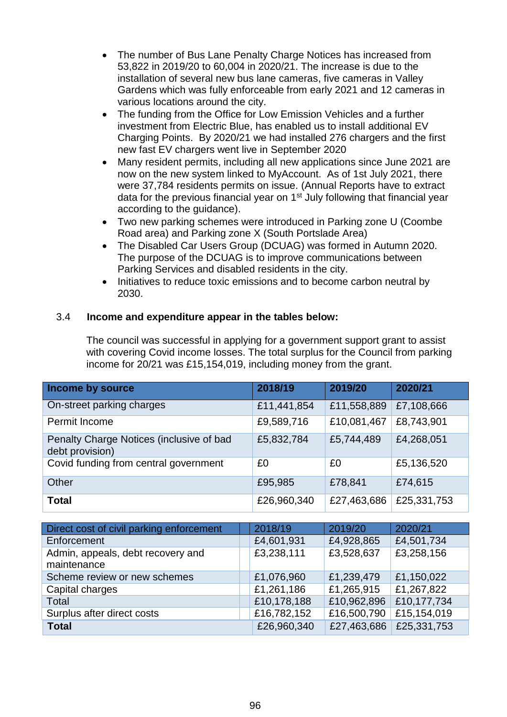- The number of Bus Lane Penalty Charge Notices has increased from 53,822 in 2019/20 to 60,004 in 2020/21. The increase is due to the installation of several new bus lane cameras, five cameras in Valley Gardens which was fully enforceable from early 2021 and 12 cameras in various locations around the city.
- The funding from the Office for Low Emission Vehicles and a further investment from Electric Blue, has enabled us to install additional EV Charging Points. By 2020/21 we had installed 276 chargers and the first new fast EV chargers went live in September 2020
- Many resident permits, including all new applications since June 2021 are now on the new system linked to MyAccount. As of 1st July 2021, there were 37,784 residents permits on issue. (Annual Reports have to extract data for the previous financial year on 1<sup>st</sup> July following that financial year according to the guidance).
- Two new parking schemes were introduced in Parking zone U (Coombe Road area) and Parking zone X (South Portslade Area)
- The Disabled Car Users Group (DCUAG) was formed in Autumn 2020. The purpose of the DCUAG is to improve communications between Parking Services and disabled residents in the city.
- Initiatives to reduce toxic emissions and to become carbon neutral by 2030.

## 3.4 **Income and expenditure appear in the tables below:**

The council was successful in applying for a government support grant to assist with covering Covid income losses. The total surplus for the Council from parking income for 20/21 was £15,154,019, including money from the grant.

| <b>Income by source</b>                                     | 2018/19     | 2019/20     | 2020/21     |
|-------------------------------------------------------------|-------------|-------------|-------------|
| On-street parking charges                                   | £11,441,854 | £11,558,889 | £7,108,666  |
| Permit Income                                               | £9,589,716  | £10,081,467 | £8,743,901  |
| Penalty Charge Notices (inclusive of bad<br>debt provision) | £5,832,784  | £5,744,489  | £4,268,051  |
| Covid funding from central government                       | £0          | £0          | £5,136,520  |
| Other                                                       | £95,985     | £78,841     | £74,615     |
| <b>Total</b>                                                | £26,960,340 | £27,463,686 | £25,331,753 |

| Direct cost of civil parking enforcement         | 2018/19     | 2019/20     | 2020/21     |
|--------------------------------------------------|-------------|-------------|-------------|
|                                                  |             |             |             |
| Enforcement                                      | £4,601,931  | £4,928,865  | £4,501,734  |
| Admin, appeals, debt recovery and<br>maintenance | £3,238,111  | £3,528,637  | £3,258,156  |
| Scheme review or new schemes                     | £1,076,960  | £1,239,479  | £1,150,022  |
| Capital charges                                  | £1,261,186  | £1,265,915  | £1,267,822  |
| Total                                            | £10,178,188 | £10,962,896 | £10,177,734 |
| Surplus after direct costs                       | £16,782,152 | £16,500,790 | £15,154,019 |
| <b>Total</b>                                     | £26,960,340 | £27,463,686 | £25,331,753 |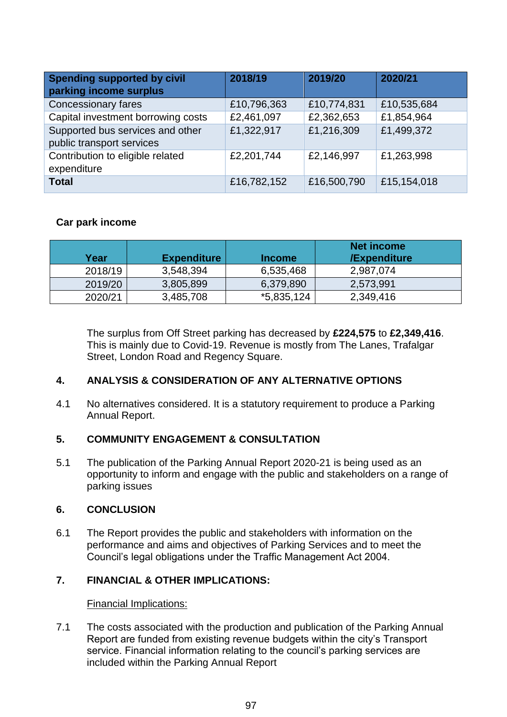| <b>Spending supported by civil</b><br>parking income surplus  | 2018/19     | 2019/20     | 2020/21     |
|---------------------------------------------------------------|-------------|-------------|-------------|
| Concessionary fares                                           | £10,796,363 | £10,774,831 | £10,535,684 |
| Capital investment borrowing costs                            | £2,461,097  | £2,362,653  | £1,854,964  |
| Supported bus services and other<br>public transport services | £1,322,917  | £1,216,309  | £1,499,372  |
| Contribution to eligible related<br>expenditure               | £2,201,744  | £2,146,997  | £1,263,998  |
| <b>Total</b>                                                  | £16,782,152 | £16,500,790 | £15,154,018 |

#### **Car park income**

| Year    | <b>Expenditure</b> | <b>Income</b> | <b>Net income</b><br>/Expenditure |
|---------|--------------------|---------------|-----------------------------------|
| 2018/19 | 3,548,394          | 6,535,468     | 2,987,074                         |
| 2019/20 | 3,805,899          | 6,379,890     | 2,573,991                         |
| 2020/21 | 3,485,708          | *5,835,124    | 2,349,416                         |

The surplus from Off Street parking has decreased by **£224,575** to **£2,349,416**. This is mainly due to Covid-19. Revenue is mostly from The Lanes, Trafalgar Street, London Road and Regency Square.

## **4. ANALYSIS & CONSIDERATION OF ANY ALTERNATIVE OPTIONS**

4.1 No alternatives considered. It is a statutory requirement to produce a Parking Annual Report.

#### **5. COMMUNITY ENGAGEMENT & CONSULTATION**

5.1 The publication of the Parking Annual Report 2020-21 is being used as an opportunity to inform and engage with the public and stakeholders on a range of parking issues

#### **6. CONCLUSION**

6.1 The Report provides the public and stakeholders with information on the performance and aims and objectives of Parking Services and to meet the Council's legal obligations under the Traffic Management Act 2004.

## **7. FINANCIAL & OTHER IMPLICATIONS:**

Financial Implications:

7.1 The costs associated with the production and publication of the Parking Annual Report are funded from existing revenue budgets within the city's Transport service. Financial information relating to the council's parking services are included within the Parking Annual Report